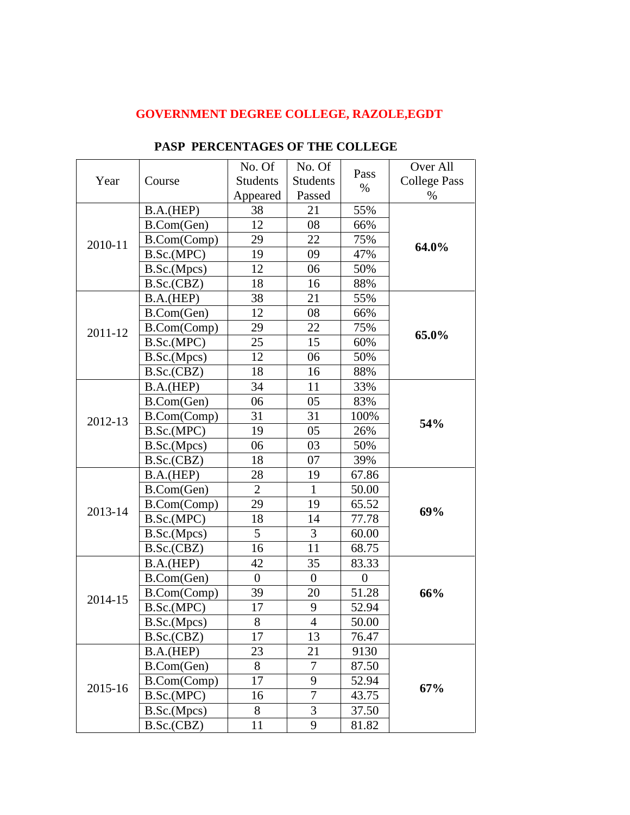## **GOVERNMENT DEGREE COLLEGE, RAZOLE,EGDT**

| Year    | Course      | No. Of           | No. Of           | Pass<br>$\%$     | Over All            |
|---------|-------------|------------------|------------------|------------------|---------------------|
|         |             | <b>Students</b>  | <b>Students</b>  |                  | <b>College Pass</b> |
|         |             | Appeared         | Passed           |                  | %                   |
| 2010-11 | B.A.(HEP)   | 38               | 21               | 55%              | 64.0%               |
|         | B.Com(Gen)  | 12               | 08               | 66%              |                     |
|         | B.Com(Comp) | 29               | 22               | 75%              |                     |
|         | B.Sc.(MPC)  | 19               | 09               | 47%              |                     |
|         | B.Sc.(Mpcs) | 12               | 06               | 50%              |                     |
|         | B.Sc.(CBZ)  | 18               | 16               | 88%              |                     |
| 2011-12 | B.A.(HEP)   | 38               | 21               | 55%              | 65.0%               |
|         | B.Com(Gen)  | 12               | 08               | 66%              |                     |
|         | B.Com(Comp) | 29               | 22               | 75%              |                     |
|         | B.Sc.(MPC)  | 25               | 15               | 60%              |                     |
|         | B.Sc.(Mpcs) | 12               | 06               | 50%              |                     |
|         | B.Sc.(CBZ)  | 18               | 16               | 88%              |                     |
| 2012-13 | B.A.(HEP)   | 34               | 11               | 33%              | 54%                 |
|         | B.Com(Gen)  | 06               | 05               | 83%              |                     |
|         | B.Com(Comp) | 31               | 31               | 100%             |                     |
|         | B.Sc.(MPC)  | 19               | 05               | 26%              |                     |
|         | B.Sc.(Mpcs) | 06               | 03               | 50%              |                     |
|         | B.Sc.(CBZ)  | 18               | 07               | 39%              |                     |
|         | B.A.(HEP)   | 28               | 19               | 67.86            | 69%                 |
|         | B.Com(Gen)  | $\overline{2}$   | $\mathbf{1}$     | 50.00            |                     |
|         | B.Com(Comp) | 29               | 19               | 65.52            |                     |
| 2013-14 | B.Sc.(MPC)  | 18               | 14               | 77.78            |                     |
|         | B.Sc.(Mpcs) | 5                | 3                | 60.00            |                     |
|         | B.Sc.(CBZ)  | 16               | 11               | 68.75            |                     |
| 2014-15 | B.A.(HEP)   | 42               | 35               | 83.33            |                     |
|         | B.Com(Gen)  | $\boldsymbol{0}$ | $\boldsymbol{0}$ | $\boldsymbol{0}$ |                     |
|         | B.Com(Comp) | 39               | 20               | 51.28            | 66%                 |
|         | B.Sc.(MPC)  | 17               | 9                | 52.94            |                     |
|         | B.Sc.(Mpcs) | 8                | $\overline{4}$   | 50.00            |                     |
|         | B.Sc.(CBZ)  | 17               | 13               | 76.47            |                     |
| 2015-16 | B.A.(HEP)   | 23               | 21               | 9130             |                     |
|         | B.Com(Gen)  | 8                | 7                | 87.50            | 67%                 |
|         | B.Com(Comp) | 17               | 9                | 52.94            |                     |
|         | B.Sc.(MPC)  | 16               | $\overline{7}$   | 43.75            |                     |
|         | B.Sc.(Mpcs) | 8                | 3                | 37.50            |                     |
|         | B.Sc.(CBZ)  | 11               | 9                | 81.82            |                     |

## **PASP PERCENTAGES OF THE COLLEGE**